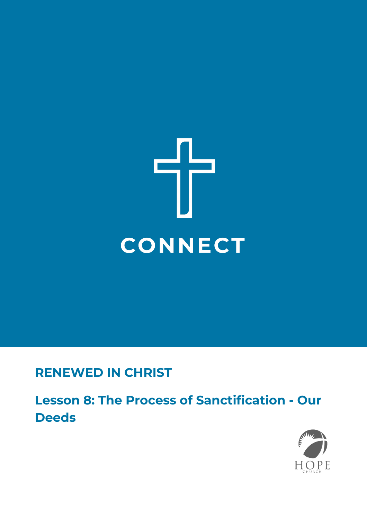

# **RENEWED IN CHRIST**

**Lesson 8: The Process of Sanctification - Our Deeds**

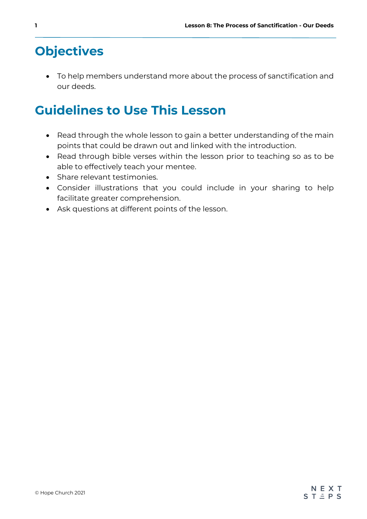# **Objectives**

• To help members understand more about the process of sanctification and our deeds.

# **Guidelines to Use This Lesson**

- Read through the whole lesson to gain a better understanding of the main points that could be drawn out and linked with the introduction.
- Read through bible verses within the lesson prior to teaching so as to be able to effectively teach your mentee.
- Share relevant testimonies.
- Consider illustrations that you could include in your sharing to help facilitate greater comprehension.
- Ask questions at different points of the lesson.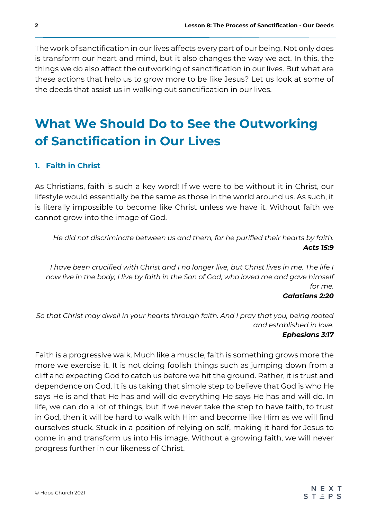The work of sanctification in our lives affects every part of our being. Not only does is transform our heart and mind, but it also changes the way we act. In this, the things we do also affect the outworking of sanctification in our lives. But what are these actions that help us to grow more to be like Jesus? Let us look at some of the deeds that assist us in walking out sanctification in our lives.

# **What We Should Do to See the Outworking of Sanctification in Our Lives**

### **1. Faith in Christ**

As Christians, faith is such a key word! If we were to be without it in Christ, our lifestyle would essentially be the same as those in the world around us. As such, it is literally impossible to become like Christ unless we have it. Without faith we cannot grow into the image of God.

*He did not discriminate between us and them, for he purified their hearts by faith. Acts 15:9*

*I have been crucified with Christ and I no longer live, but Christ lives in me. The life I now live in the body, I live by faith in the Son of God, who loved me and gave himself for me.*

#### *Galatians 2:20*

*So that Christ may dwell in your hearts through faith. And I pray that you, being rooted and established in love.*

#### *Ephesians 3:17*

Faith is a progressive walk. Much like a muscle, faith is something grows more the more we exercise it. It is not doing foolish things such as jumping down from a cliff and expecting God to catch us before we hit the ground. Rather, it is trust and dependence on God. It is us taking that simple step to believe that God is who He says He is and that He has and will do everything He says He has and will do. In life, we can do a lot of things, but if we never take the step to have faith, to trust in God, then it will be hard to walk with Him and become like Him as we will find ourselves stuck. Stuck in a position of relying on self, making it hard for Jesus to come in and transform us into His image. Without a growing faith, we will never progress further in our likeness of Christ.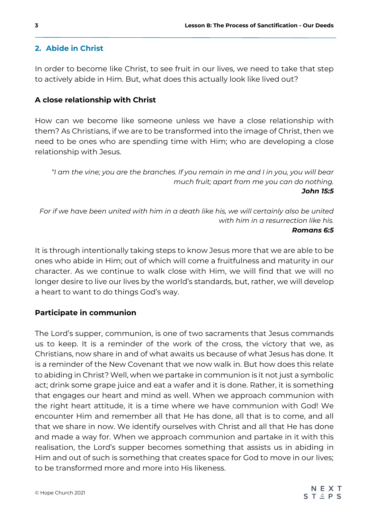#### **2. Abide in Christ**

In order to become like Christ, to see fruit in our lives, we need to take that step to actively abide in Him. But, what does this actually look like lived out?

#### **A close relationship with Christ**

How can we become like someone unless we have a close relationship with them? As Christians, if we are to be transformed into the image of Christ, then we need to be ones who are spending time with Him; who are developing a close relationship with Jesus.

*"I am the vine; you are the branches. If you remain in me and I in you, you will bear much fruit; apart from me you can do nothing. John 15:5*

*For if we have been united with him in a death like his, we will certainly also be united with him in a resurrection like his. Romans 6:5*

It is through intentionally taking steps to know Jesus more that we are able to be ones who abide in Him; out of which will come a fruitfulness and maturity in our character. As we continue to walk close with Him, we will find that we will no longer desire to live our lives by the world's standards, but, rather, we will develop a heart to want to do things God's way.

#### **Participate in communion**

The Lord's supper, communion, is one of two sacraments that Jesus commands us to keep. It is a reminder of the work of the cross, the victory that we, as Christians, now share in and of what awaits us because of what Jesus has done. It is a reminder of the New Covenant that we now walk in. But how does this relate to abiding in Christ? Well, when we partake in communion is it not just a symbolic act; drink some grape juice and eat a wafer and it is done. Rather, it is something that engages our heart and mind as well. When we approach communion with the right heart attitude, it is a time where we have communion with God! We encounter Him and remember all that He has done, all that is to come, and all that we share in now. We identify ourselves with Christ and all that He has done and made a way for. When we approach communion and partake in it with this realisation, the Lord's supper becomes something that assists us in abiding in Him and out of such is something that creates space for God to move in our lives; to be transformed more and more into His likeness.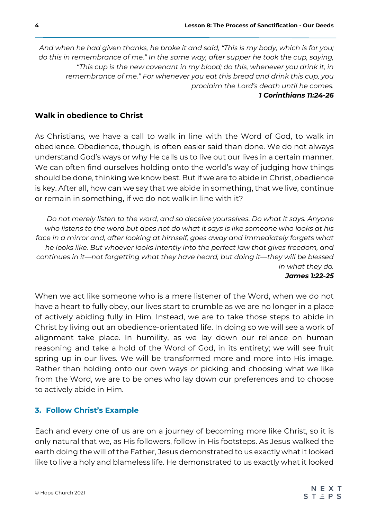*And when he had given thanks, he broke it and said, "This is my body, which is for you; do this in remembrance of me." In the same way, after supper he took the cup, saying, "This cup is the new covenant in my blood; do this, whenever you drink it, in remembrance of me." For whenever you eat this bread and drink this cup, you proclaim the Lord's death until he comes.*

#### *1 Corinthians 11:24-26*

### **Walk in obedience to Christ**

As Christians, we have a call to walk in line with the Word of God, to walk in obedience. Obedience, though, is often easier said than done. We do not always understand God's ways or why He calls us to live out our lives in a certain manner. We can often find ourselves holding onto the world's way of judging how things should be done, thinking we know best. But if we are to abide in Christ, obedience is key. After all, how can we say that we abide in something, that we live, continue or remain in something, if we do not walk in line with it?

*Do not merely listen to the word, and so deceive yourselves. Do what it says. Anyone who listens to the word but does not do what it says is like someone who looks at his*  face in a mirror and, after looking at himself, goes away and immediately forgets what *he looks like. But whoever looks intently into the perfect law that gives freedom, and continues in it—not forgetting what they have heard, but doing it—they will be blessed in what they do.*

#### *James 1:22-25*

When we act like someone who is a mere listener of the Word, when we do not have a heart to fully obey, our lives start to crumble as we are no longer in a place of actively abiding fully in Him. Instead, we are to take those steps to abide in Christ by living out an obedience-orientated life. In doing so we will see a work of alignment take place. In humility, as we lay down our reliance on human reasoning and take a hold of the Word of God, in its entirety; we will see fruit spring up in our lives. We will be transformed more and more into His image. Rather than holding onto our own ways or picking and choosing what we like from the Word, we are to be ones who lay down our preferences and to choose to actively abide in Him.

### **3. Follow Christ's Example**

Each and every one of us are on a journey of becoming more like Christ, so it is only natural that we, as His followers, follow in His footsteps. As Jesus walked the earth doing the will of the Father, Jesus demonstrated to us exactly what it looked like to live a holy and blameless life. He demonstrated to us exactly what it looked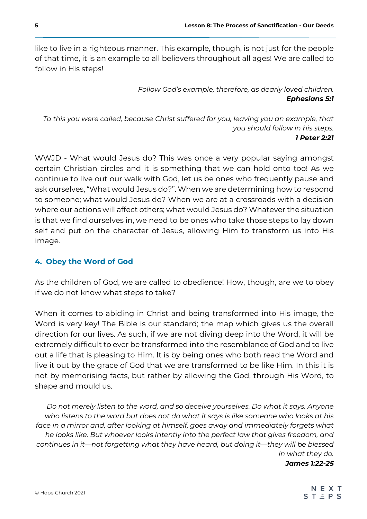like to live in a righteous manner. This example, though, is not just for the people of that time, it is an example to all believers throughout all ages! We are called to follow in His steps!

> *Follow God's example, therefore, as dearly loved children. Ephesians 5:1*

*To this you were called, because Christ suffered for you, leaving you an example, that you should follow in his steps. 1 Peter 2:21*

WWJD - What would Jesus do? This was once a very popular saying amongst certain Christian circles and it is something that we can hold onto too! As we continue to live out our walk with God, let us be ones who frequently pause and ask ourselves, "What would Jesus do?". When we are determining how to respond to someone; what would Jesus do? When we are at a crossroads with a decision where our actions will affect others; what would Jesus do? Whatever the situation is that we find ourselves in, we need to be ones who take those steps to lay down self and put on the character of Jesus, allowing Him to transform us into His image.

## **4. Obey the Word of God**

As the children of God, we are called to obedience! How, though, are we to obey if we do not know what steps to take?

When it comes to abiding in Christ and being transformed into His image, the Word is very key! The Bible is our standard; the map which gives us the overall direction for our lives. As such, if we are not diving deep into the Word, it will be extremely difficult to ever be transformed into the resemblance of God and to live out a life that is pleasing to Him. It is by being ones who both read the Word and live it out by the grace of God that we are transformed to be like Him. In this it is not by memorising facts, but rather by allowing the God, through His Word, to shape and mould us.

*Do not merely listen to the word, and so deceive yourselves. Do what it says. Anyone who listens to the word but does not do what it says is like someone who looks at his*  face in a mirror and, after looking at himself, goes away and immediately forgets what *he looks like. But whoever looks intently into the perfect law that gives freedom, and continues in it—not forgetting what they have heard, but doing it—they will be blessed in what they do.*

*James 1:22-25*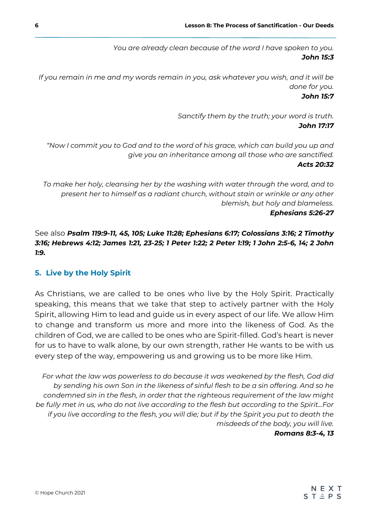*You are already clean because of the word I have spoken to you. John 15:3*

*If you remain in me and my words remain in you, ask whatever you wish, and it will be done for you.*

#### *John 15:7*

*Sanctify them by the truth; your word is truth. John 17:17*

*"Now I commit you to God and to the word of his grace, which can build you up and give you an inheritance among all those who are sanctified. Acts 20:32*

*To make her holy, cleansing her by the washing with water through the word, and to present her to himself as a radiant church, without stain or wrinkle or any other blemish, but holy and blameless. Ephesians 5:26-27*

See also *Psalm 119:9-11, 45, 105; Luke 11:28; Ephesians 6:17; Colossians 3:16; 2 Timothy 3:16; Hebrews 4:12; James 1:21, 23-25; 1 Peter 1:22; 2 Peter 1:19; 1 John 2:5-6, 14; 2 John 1:9.*

### **5. Live by the Holy Spirit**

As Christians, we are called to be ones who live by the Holy Spirit. Practically speaking, this means that we take that step to actively partner with the Holy Spirit, allowing Him to lead and guide us in every aspect of our life. We allow Him to change and transform us more and more into the likeness of God. As the children of God, we are called to be ones who are Spirit-filled. God's heart is never for us to have to walk alone, by our own strength, rather He wants to be with us every step of the way, empowering us and growing us to be more like Him.

*For what the law was powerless to do because it was weakened by the flesh, God did by sending his own Son in the likeness of sinful flesh to be a sin offering. And so he condemned sin in the flesh, in order that the righteous requirement of the law might be fully met in us, who do not live according to the flesh but according to the Spirit...For if you live according to the flesh, you will die; but if by the Spirit you put to death the misdeeds of the body, you will live.*

*Romans 8:3-4, 13*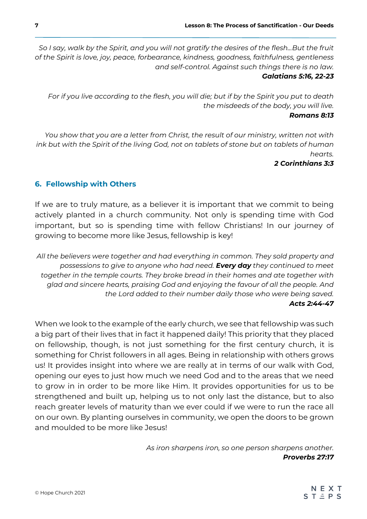*So I say, walk by the Spirit, and you will not gratify the desires of the flesh...But the fruit of the Spirit is love, joy, peace, forbearance, kindness, goodness, faithfulness, gentleness and self-control. Against such things there is no law. Galatians 5:16, 22-23*

*For if you live according to the flesh, you will die; but if by the Spirit you put to death the misdeeds of the body, you will live.*

#### *Romans 8:13*

*You show that you are a letter from Christ, the result of our ministry, written not with ink but with the Spirit of the living God, not on tablets of stone but on tablets of human hearts.*

### *2 Corinthians 3:3*

## **6. Fellowship with Others**

If we are to truly mature, as a believer it is important that we commit to being actively planted in a church community. Not only is spending time with God important, but so is spending time with fellow Christians! In our journey of growing to become more like Jesus, fellowship is key!

All the believers were together and had everything in common. They sold property and *possessions to give to anyone who had need. Every day they continued to meet together in the temple courts. They broke bread in their homes and ate together with glad and sincere hearts, praising God and enjoying the favour of all the people. And the Lord added to their number daily those who were being saved. Acts 2:44-47*

When we look to the example of the early church, we see that fellowship was such a big part of their lives that in fact it happened daily! This priority that they placed on fellowship, though, is not just something for the first century church, it is something for Christ followers in all ages. Being in relationship with others grows us! It provides insight into where we are really at in terms of our walk with God, opening our eyes to just how much we need God and to the areas that we need to grow in in order to be more like Him. It provides opportunities for us to be strengthened and built up, helping us to not only last the distance, but to also reach greater levels of maturity than we ever could if we were to run the race all on our own. By planting ourselves in community, we open the doors to be grown and moulded to be more like Jesus!

> *As iron sharpens iron, so one person sharpens another. Proverbs 27:17*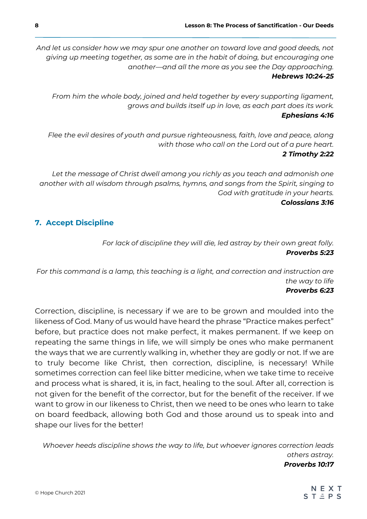*And let us consider how we may spur one another on toward love and good deeds, not giving up meeting together, as some are in the habit of doing, but encouraging one another—and all the more as you see the Day approaching. Hebrews 10:24-25*

*From him the whole body, joined and held together by every supporting ligament, grows and builds itself up in love, as each part does its work. Ephesians 4:16*

*Flee the evil desires of youth and pursue righteousness, faith, love and peace, along with those who call on the Lord out of a pure heart. 2 Timothy 2:22*

Let the message of Christ dwell among you richly as you teach and admonish one *another with all wisdom through psalms, hymns, and songs from the Spirit, singing to God with gratitude in your hearts. Colossians 3:16*

## **7. Accept Discipline**

*For lack of discipline they will die, led astray by their own great folly. Proverbs 5:23*

*For this command is a lamp, this teaching is a light, and correction and instruction are the way to life Proverbs 6:23*

Correction, discipline, is necessary if we are to be grown and moulded into the likeness of God. Many of us would have heard the phrase "Practice makes perfect" before, but practice does not make perfect, it makes permanent. If we keep on repeating the same things in life, we will simply be ones who make permanent the ways that we are currently walking in, whether they are godly or not. If we are to truly become like Christ, then correction, discipline, is necessary! While sometimes correction can feel like bitter medicine, when we take time to receive and process what is shared, it is, in fact, healing to the soul. After all, correction is not given for the benefit of the corrector, but for the benefit of the receiver. If we want to grow in our likeness to Christ, then we need to be ones who learn to take on board feedback, allowing both God and those around us to speak into and shape our lives for the better!

*Whoever heeds discipline shows the way to life, but whoever ignores correction leads others astray. Proverbs 10:17*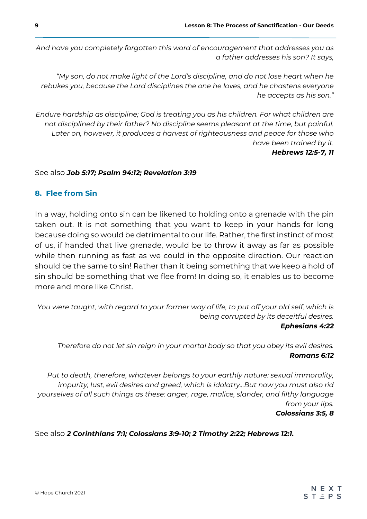*And have you completely forgotten this word of encouragement that addresses you as a father addresses his son? It says,*

*"My son, do not make light of the Lord's discipline, and do not lose heart when he rebukes you, because the Lord disciplines the one he loves, and he chastens everyone he accepts as his son."*

*Endure hardship as discipline; God is treating you as his children. For what children are not disciplined by their father? No discipline seems pleasant at the time, but painful.*  Later on, however, it produces a harvest of righteousness and peace for those who *have been trained by it. Hebrews 12:5-7, 11*

#### See also *Job 5:17; Psalm 94:12; Revelation 3:19*

## **8. Flee from Sin**

In a way, holding onto sin can be likened to holding onto a grenade with the pin taken out. It is not something that you want to keep in your hands for long because doing so would be detrimental to our life. Rather, the first instinct of most of us, if handed that live grenade, would be to throw it away as far as possible while then running as fast as we could in the opposite direction. Our reaction should be the same to sin! Rather than it being something that we keep a hold of sin should be something that we flee from! In doing so, it enables us to become more and more like Christ.

*You were taught, with regard to your former way of life, to put off your old self, which is being corrupted by its deceitful desires. Ephesians 4:22*

*Therefore do not let sin reign in your mortal body so that you obey its evil desires. Romans 6:12*

*Put to death, therefore, whatever belongs to your earthly nature: sexual immorality,*  impurity, lust, evil desires and greed, which is idolatry...But now you must also rid *yourselves of all such things as these: anger, rage, malice, slander, and filthy language from your lips. Colossians 3:5, 8*

See also *2 Corinthians 7:1; Colossians 3:9-10; 2 Timothy 2:22; Hebrews 12:1.*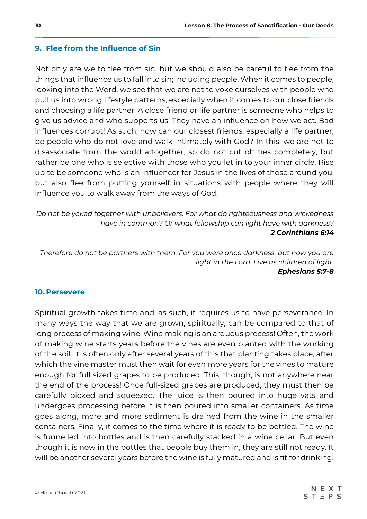### **9. Flee from the Influence of Sin**

Not only are we to flee from sin, but we should also be careful to flee from the things that influence us to fall into sin; including people. When it comes to people, looking into the Word, we see that we are not to yoke ourselves with people who pull us into wrong lifestyle patterns, especially when it comes to our close friends and choosing a life partner. A close friend or life partner is someone who helps to give us advice and who supports us. They have an influence on how we act. Bad influences corrupt! As such, how can our closest friends, especially a life partner, be people who do not love and walk intimately with God? In this, we are not to disassociate from the world altogether, so do not cut off ties completely, but rather be one who is selective with those who you let in to your inner circle. Rise up to be someone who is an influencer for Jesus in the lives of those around you, but also flee from putting yourself in situations with people where they will influence you to walk away from the ways of God.

*Do not be yoked together with unbelievers. For what do righteousness and wickedness have in common? Or what fellowship can light have with darkness? 2 Corinthians 6:14*

*Therefore do not be partners with them. For you were once darkness, but now you are light in the Lord. Live as children of light. Ephesians 5:7-8*

### **10. Persevere**

Spiritual growth takes time and, as such, it requires us to have perseverance. In many ways the way that we are grown, spiritually, can be compared to that of long process of making wine. Wine making is an arduous process! Often, the work of making wine starts years before the vines are even planted with the working of the soil. It is often only after several years of this that planting takes place, after which the vine master must then wait for even more years for the vines to mature enough for full sized grapes to be produced. This, though, is not anywhere near the end of the process! Once full-sized grapes are produced, they must then be carefully picked and squeezed. The juice is then poured into huge vats and undergoes processing before it is then poured into smaller containers. As time goes along, more and more sediment is drained from the wine in the smaller containers. Finally, it comes to the time where it is ready to be bottled. The wine is funnelled into bottles and is then carefully stacked in a wine cellar. But even though it is now in the bottles that people buy them in, they are still not ready. It will be another several years before the wine is fully matured and is fit for drinking.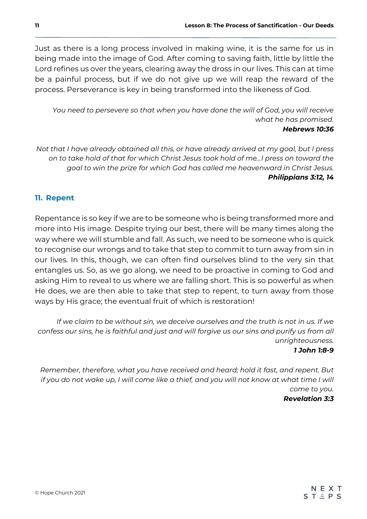Just as there is a long process involved in making wine, it is the same for us in being made into the image of God. After coming to saving faith, little by little the Lord refines us over the years, clearing away the dross in our lives. This can at time be a painful process, but if we do not give up we will reap the reward of the process. Perseverance is key in being transformed into the likeness of God.

*You need to persevere so that when you have done the will of God, you will receive what he has promised. Hebrews 10:36*

*Not that I have already obtained all this, or have already arrived at my goal, but I press on to take hold of that for which Christ Jesus took hold of me...I press on toward the goal to win the prize for which God has called me heavenward in Christ Jesus. Philippians 3:12, 14*

## **11. Repent**

Repentance is so key if we are to be someone who is being transformed more and more into His image. Despite trying our best, there will be many times along the way where we will stumble and fall. As such, we need to be someone who is quick to recognise our wrongs and to take that step to commit to turn away from sin in our lives. In this, though, we can often find ourselves blind to the very sin that entangles us. So, as we go along, we need to be proactive in coming to God and asking Him to reveal to us where we are falling short. This is so powerful as when He does, we are then able to take that step to repent, to turn away from those ways by His grace; the eventual fruit of which is restoration!

*If we claim to be without sin, we deceive ourselves and the truth is not in us. If we confess our sins, he is faithful and just and will forgive us our sins and purify us from all unrighteousness.*

*1 John 1:8-9*

*Remember, therefore, what you have received and heard; hold it fast, and repent. But if you do not wake up, I will come like a thief, and you will not know at what time I will come to you. Revelation 3:3*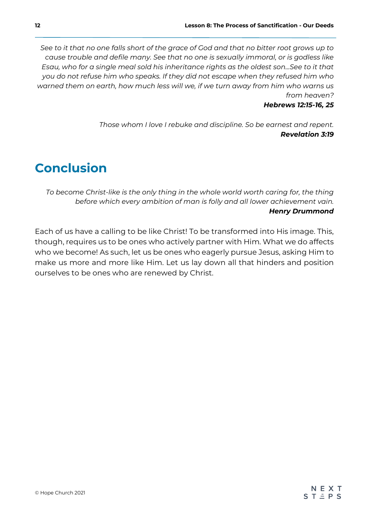*See to it that no one falls short of the grace of God and that no bitter root grows up to cause trouble and defile many. See that no one is sexually immoral, or is godless like Esau, who for a single meal sold his inheritance rights as the oldest son...See to it that you do not refuse him who speaks. If they did not escape when they refused him who warned them on earth, how much less will we, if we turn away from him who warns us from heaven?*

#### *Hebrews 12:15-16, 25*

*Those whom I love I rebuke and discipline. So be earnest and repent. Revelation 3:19*

# **Conclusion**

*To become Christ-like is the only thing in the whole world worth caring for, the thing before which every ambition of man is folly and all lower achievement vain. Henry Drummond*

Each of us have a calling to be like Christ! To be transformed into His image. This, though, requires us to be ones who actively partner with Him. What we do affects who we become! As such, let us be ones who eagerly pursue Jesus, asking Him to make us more and more like Him. Let us lay down all that hinders and position ourselves to be ones who are renewed by Christ.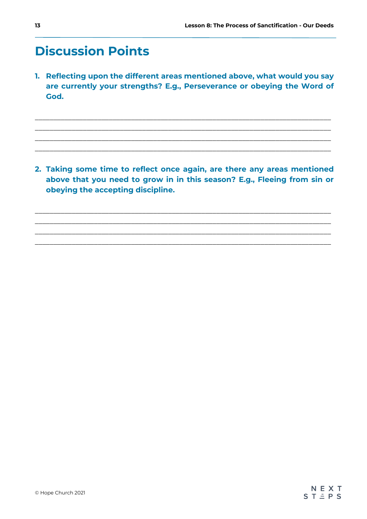# **Discussion Points**

**1. Reflecting upon the different areas mentioned above, what would you say are currently your strengths? E.g., Perseverance or obeying the Word of God.**

 $\_$  . The contribution of the contribution of the contribution of  $\mathcal{L}_\mathcal{A}$  $\_$  . The contribution of the contribution of the contribution of  $\mathcal{L}_\mathcal{A}$  $\_$  . The contribution of the contribution of the contribution of  $\mathcal{L}_\mathcal{A}$  $\_$  . The contribution of the contribution of the contribution of  $\mathcal{L}_\mathcal{A}$ 

**2. Taking some time to reflect once again, are there any areas mentioned above that you need to grow in in this season? E.g., Fleeing from sin or obeying the accepting discipline.**

 $\_$  . The contribution of the contribution of the contribution of  $\mathcal{L}_\mathcal{A}$ \_\_\_\_\_\_\_\_\_\_\_\_\_\_\_\_\_\_\_\_\_\_\_\_\_\_\_\_\_\_\_\_\_\_\_\_\_\_\_\_\_\_\_\_\_\_\_\_\_\_\_\_\_\_\_\_\_\_\_\_\_\_\_\_\_\_\_\_\_\_\_\_\_\_\_\_\_\_\_\_ \_\_\_\_\_\_\_\_\_\_\_\_\_\_\_\_\_\_\_\_\_\_\_\_\_\_\_\_\_\_\_\_\_\_\_\_\_\_\_\_\_\_\_\_\_\_\_\_\_\_\_\_\_\_\_\_\_\_\_\_\_\_\_\_\_\_\_\_\_\_\_\_\_\_\_\_\_\_\_\_ \_\_\_\_\_\_\_\_\_\_\_\_\_\_\_\_\_\_\_\_\_\_\_\_\_\_\_\_\_\_\_\_\_\_\_\_\_\_\_\_\_\_\_\_\_\_\_\_\_\_\_\_\_\_\_\_\_\_\_\_\_\_\_\_\_\_\_\_\_\_\_\_\_\_\_\_\_\_\_\_